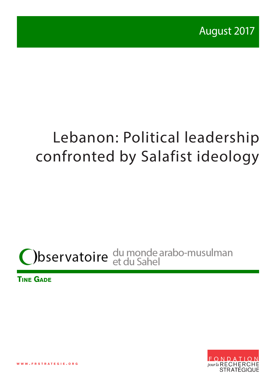# Lebanon: Political leadership confronted by Salafist ideology

# Observatoire du monde arabo-musulman

**Tine Gade**



**w w w . f r s t r a t e g i e . o r g**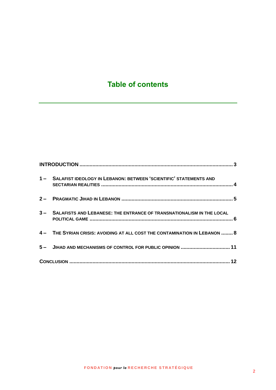## **Table of contents**

| 1 - SALAFIST IDEOLOGY IN LEBANON: BETWEEN 'SCIENTIFIC' STATEMENTS AND       |  |
|-----------------------------------------------------------------------------|--|
|                                                                             |  |
| 3 - SALAFISTS AND LEBANESE: THE ENTRANCE OF TRANSNATIONALISM IN THE LOCAL   |  |
| 4 - THE SYRIAN CRISIS: AVOIDING AT ALL COST THE CONTAMINATION IN LEBANON  8 |  |
| 5 - JIHAD AND MECHANISMS OF CONTROL FOR PUBLIC OPINION  11                  |  |
|                                                                             |  |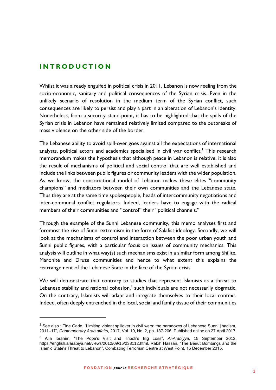#### <span id="page-2-0"></span>**I N T R O D U C T I O N**

1

Whilst it was already engulfed in political crisis in 2011, Lebanon is now reeling from the socio-economic, sanitary and political consequences of the Syrian crisis. Even in the unlikely scenario of resolution in the medium term of the Syrian conflict, such consequences are likely to persist and play a part in an alteration of Lebanon's identity. Nonetheless, from a security stand-point, it has to be highlighted that the spills of the Syrian crisis in Lebanon have remained relatively limited compared to the outbreaks of mass violence on the other side of the border.

The Lebanese ability to avoid spill-over goes against all the expectations of international analysts, political actors and academics specialised in civil war conflict.<sup>1</sup> This research memorandum makes the hypothesis that although peace in Lebanon is relative, it is also the result of mechanisms of political and social control that are well established and include the links between public figures or community leaders with the wider population. As we know, the consociational model of Lebanon makes these elites "community champions" and mediators between their own communities and the Lebanese state. Thus they are at the same time spokespeople, heads of intercommunity negotiations and inter-communal conflict regulators. Indeed, leaders have to engage with the radical members of their communities and "control" their "political channels."

Through the example of the Sunni Lebanese community, this memo analyses first and foremost the rise of Sunni extremism in the form of Salafist ideology. Secondly, we will look at the mechanisms of control and interaction between the poor urban youth and Sunni public figures, with a particular focus on issues of community mechanics. This analysis will outline in what way(s) such mechanisms exist in a similar form among Shi'ite, Maronite and Druze communities and hence to what extent this explains the rearrangement of the Lebanese State in the face of the Syrian crisis.

We will demonstrate that contrary to studies that represent Islamists as a threat to Lebanese stability and national cohesion, $<sup>2</sup>$  such individuals are not necessarily dogmatic.</sup> On the contrary, Islamists will adapt and integrate themselves to their local context. Indeed, often deeply entrenched in the local, social and family tissue of their communities

<sup>&</sup>lt;sup>1</sup> See also : Tine Gade, "Limiting violent spillover in civil wars: the paradoxes of Lebanese Sunni jihadism, 2011–17", *Contemporary Arab affairs*, 2017, Vol. 10, No. 2, pp. 187-206. Published online on 27 April 2017.

<sup>2</sup> Alia Ibrahim, "The Pope's Visit and Tripoli's Big Loss", *Al-Arabiyya*, 15 September 2012, [https://english.alarabiya.net/views/2012/09/15/238112.html.](https://english.alarabiya.net/views/2012/09/15/238112.html) Rabih Hassan, "The Beirut Bombings and the Islamic State's Threat to Lebanon", Combating Terrorism Centre at West Point, 15 December 2015.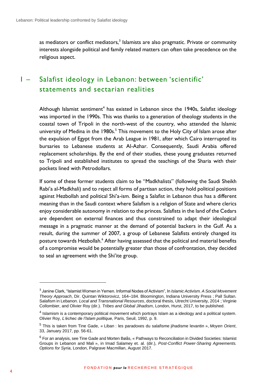as mediators or conflict mediators, $3$  Islamists are also pragmatic. Private or community interests alongside political and family related matters can often take precedence on the religious aspect.

### <span id="page-3-0"></span>1 – Salafist ideology in Lebanon: between 'scientific' statements and sectarian realities

Although Islamist sentiment<sup>4</sup> has existed in Lebanon since the 1940s, Salafist ideology was imported in the 1990s. This was thanks to a generation of theology students in the coastal town of Tripoli in the north-west of the country, who attended the Islamic university of Medina in the 1980s.<sup>5</sup> This movement to the Holy City of Islam arose after the expulsion of Egypt from the Arab League in 1981, after which Cairo interrupted its bursaries to Lebanese students at Al-Azhar. Consequently, Saudi Arabia offered replacement scholarships. By the end of their studies, these young graduates returned to Tripoli and established institutes to spread the teachings of the Sharia with their pockets lined with Petrodollars.

If some of these former students claim to be "Madkhalists" (following the Saudi Sheikh Rabi'a al-Madkhali) and to reject all forms of partisan action, they hold political positions against Hezbollah and political Shi'a-ism. Being a Salafist in Lebanon thus has a different meaning than in the Saudi context where Salafism is a religion of State and where clerics enjoy considerable autonomy in relation to the princes. Salafists in the land of the Cedars are dependent on external finances and thus constrained to adapt their ideological message in a pragmatic manner at the demand of potential backers in the Gulf. As a result, during the summer of 2007, a group of Lebanese Salafists entirely changed its posture towards Hezbollah.<sup>6</sup> After having assessed that the political and material benefits of a compromise would be potentially greater than those of confrontation, they decided to seal an agreement with the Shi'ite group.

<sup>3</sup> Janine Clark, "Islamist Women in Yemen. Informal Nodes of Activism", In *Islamic Activism. A Social Movement Theory Approach*, Dir. Quintan Wiktorovicz, 164–184. Bloomington, Indiana University Press ; Pall Sultan. Salafism in Lebanon. *Local and Transnational Resources*, doctoral thesis, Utrecht University, 2014 ; Virginie Collombier, and Olivier Roy (dir.). *Tribes and Global Jihadism*, London, Hurst, 2017, to be published.

<sup>&</sup>lt;sup>4</sup> Islamism is a contemporary political movement which portrays Islam as a ideology and a political system. Olivier Roy, *L'échec de l'Islam politique*, Paris, Seuil, 1992, p. 9.

<sup>5</sup> This is taken from Tine Gade, « Liban : les paradoxes du salafisme jihadisme levantin », *Moyen Orient*, 33, January 2017, pp. 56-61.

<sup>6</sup> For an analysis, see Tine Gade and Morten Bøås, « Pathways to Reconciliation in Divided Societies: Islamist Groups in Lebanon and Mali », in Imad Salamey et. al. (dir.), *Post-Conflict Power-Sharing Agreements. Options for Syria*, London, Palgrave Macmillan, August 2017.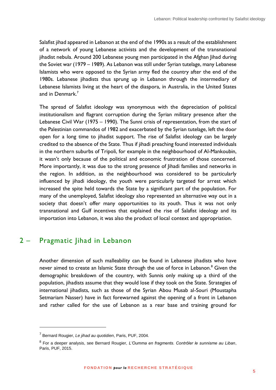Salafist jihad appeared in Lebanon at the end of the 1990s as a result of the establishment of a network of young Lebanese activists and the development of the transnational jihadist nebula. Around 200 Lebanese young men participated in the Afghan Jihad during the Soviet war (1979 – 1989). As Lebanon was still under Syrian tutelage, many Lebanese Islamists who were opposed to the Syrian army fled the country after the end of the 1980s. Lebanese jihadists thus sprung up in Lebanon through the intermediary of Lebanese Islamists living at the heart of the diaspora, in Australia, in the United States and in Denmark<sup>7</sup>

The spread of Salafist ideology was synonymous with the depreciation of political institutionalism and flagrant corruption during the Syrian military presence after the Lebanese Civil War (1975 – 1990). The Sunni crisis of representation, from the start of the Palestinian commandos of 1982 and exacerbated by the Syrian tutelage, left the door open for a long time to jihadist support. The rise of Salafist ideology can be largely credited to the absence of the State. Thus if jihadi preaching found interested individuals in the northern suburbs of Tripoli, for example in the neighbourhood of Al-Mankoubin, it wasn't only because of the political and economic frustration of those concerned. More importantly, it was due to the strong presence of Jihadi families and networks in the region. In addition, as the neighbourhood was considered to be particularly influenced by jihadi ideology, the youth were particularly targeted for arrest which increased the spite held towards the State by a significant part of the population. For many of the unemployed, Salafist ideology also represented an alternative way out in a society that doesn't offer many opportunities to its youth. Thus it was not only transnational and Gulf incentives that explained the rise of Salafist ideology and its importation into Lebanon, it was also the product of local context and appropriation.

#### <span id="page-4-0"></span>2 – Pragmatic Jihad in Lebanon

1

Another dimension of such malleability can be found in Lebanese jihadists who have never aimed to create an Islamic State through the use of force in Lebanon.<sup>8</sup> Given the demographic breakdown of the country, with Sunnis only making up a third of the population, jihadists assume that they would lose if they took on the State. Strategies of international jihadists, such as those of the Syrian Abou Musab al-Souri (Moustapha Setmariam Nasser) have in fact forewarned against the opening of a front in Lebanon and rather called for the use of Lebanon as a rear base and training ground for

<sup>7</sup> Bernard Rougier, *Le jihad au quotidien*, Paris, PUF, 2004.

<sup>8</sup> For a deeper analysis, see Bernard Rougier, *L'Oumma en fragments. Contrôler le sunnisme au Liban*, Paris, PUF, 2015.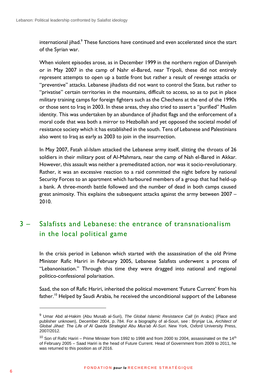international jihad.<sup>9</sup> These functions have continued and even accelerated since the start of the Syrian war.

When violent episodes arose, as in December 1999 in the northern region of Danniyeh or in May 2007 in the camp of Nahr el-Bared, near Tripoli, these did not entirely represent attempts to open up a battle front but rather a result of revenge attacks or "preventive" attacks. Lebanese jihadists did not want to control the State, but rather to "privatise" certain territories in the mountains, difficult to access, so as to put in place military training camps for foreign fighters such as the Chechens at the end of the 1990s or those sent to Iraq in 2003. In these areas, they also tried to assert a "purified" Muslim identity. This was undertaken by an abundance of jihadist flags and the enforcement of a moral code that was both a mirror to Hezbollah and yet opposed the societal model of resistance society which it has established in the south. Tens of Lebanese and Palestinians also went to Iraq as early as 2003 to join in the insurrection.

In May 2007, Fatah al-Islam attacked the Lebanese army itself, slitting the throats of 26 soldiers in their military post of Al-Mahmara, near the camp of Nah el-Bared in Akkar. However, this assault was neither a premeditated action, nor was it socio-revolutionary. Rather, it was an excessive reaction to a raid committed the night before by national Security Forces to an apartment which harboured members of a group that had held-up a bank. A three-month battle followed and the number of dead in both camps caused great animosity. This explains the subsequent attacks against the army between 2007 – 2010.

#### <span id="page-5-0"></span>3 – Salafists and Lebanese: the entrance of transnationalism in the local political game

In the crisis period in Lebanon which started with the assassination of the old Prime Minister Rafic Hariri in February 2005, Lebanese Salafists underwent a process of "Lebanonisation." Through this time they were dragged into national and regional politico-confessional polarisation.

Saad, the son of Rafic Hariri, inherited the political movement 'Future Current' from his father.<sup>10</sup> Helped by Saudi Arabia, he received the unconditional support of the Lebanese

<sup>9</sup> Umar Abd al-Hakim (Abu Musab al-Suri), *The Global Islamic Resistance Call* (in Arabic) (Place and publisher unknown), December 2004, p. 784. For a biography of al-Souri, see : Brynjar Lia, *Architect of Global Jihad: The Life of Al Qaeda Strategist Abu Musʻab Al-Suri*. New York, Oxford University Press, 2007/2012.

 $10$  Son of Rafic Hariri – Prime Minister from 1992 to 1998 and from 2000 to 2004, assassinated on the 14<sup>th</sup> of February 2005 – Saad Hariri is the head of Future Current. Head of Government from 2009 to 2011, he was returned to this position as of 2016.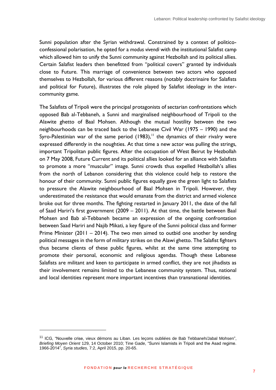Sunni population after the Syrian withdrawal. Constrained by a context of politicoconfessional polarisation, he opted for a *modus vivendi* with the institutional Salafist camp which allowed him to unify the Sunni community against Hezbollah and its political allies. Certain Salafist leaders then benefitted from "political covers" granted by individuals close to Future. This marriage of convenience between two actors who opposed themselves to Hezbollah, for various different reasons (notably doctrinaire for Salafists and political for Future), illustrates the role played by Salafist ideology in the intercommunity game.

The Salafists of Tripoli were the principal protagonists of sectarian confrontations which opposed Bab al-Tebbaneh, a Sunni and marginalised neighbourhood of Tripoli to the Alawite ghetto of Baal Mohsen. Although the mutual hostility between the two neighbourhoods can be traced back to the Lebanese Civil War (1975 – 1990) and the Syro-Palestinian war of the same period  $(1983)$ ,<sup>11</sup> the dynamics of their rivalry were expressed differently in the noughties. At that time a new actor was pulling the strings, important Tripolitan public figures. After the occupation of West Beirut by Hezbollah on 7 May 2008, Future Current and its political allies looked for an alliance with Salafists to promote a more "muscular" image. Sunni crowds thus expelled Hezbollah's allies from the north of Lebanon considering that this violence could help to restore the honour of their community. Sunni public figures equally gave the green light to Salafists to pressure the Alawite neighbourhood of Baal Mohsen in Tripoli. However, they underestimated the resistance that would emanate from the district and armed violence broke out for three months. The fighting restarted in January 2011, the date of the fall of Saad Hariri's first government (2009 – 2011). At that time, the battle between Baal Mohsen and Bab al-Tebbaneh became an expression of the ongoing confrontation between Saad Hariri and Najib Mikati, a key figure of the Sunni political class and former Prime Minister (2011 – 2014). The two men aimed to outbid one another by sending political messages in the form of military strikes on the Alawi ghetto. The Salafist fighters thus became clients of these public figures, whilst at the same time attempting to promote their personal, economic and religious agendas. Though these Lebanese Salafists are militant and keen to participate in armed conflict, they are not jihadists as their involvement remains limited to the Lebanese community system. Thus, national and local identities represent more important incentives than transnational identities.

<sup>&</sup>lt;sup>11</sup> ICG, "Nouvelle crise, vieux démons au Liban. Les leçons oubliées de Bab Tebbaneh/Jabal Mohsen", *Briefing Moyen Orient* 129, 14 October 2010; Tine Gade, "Sunni Islamists in Tripoli and the Asad regime. 1966-2014", *Syria studies,* 7:2, April 2015, pp. 20-65.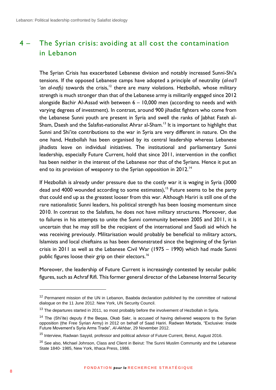### <span id="page-7-0"></span>4 – The Syrian crisis: avoiding at all cost the contamination in Lebanon

The Syrian Crisis has exacerbated Lebanese division and notably increased Sunni-Shi'a tensions. If the opposed Lebanese camps have adopted a principle of neutrality (*al-na'I*  'an al-nafs) towards the crisis,<sup>12</sup> there are many violations. Hezbollah, whose military strength is much stronger than that of the Lebanese army is militarily engaged since 2012 alongside Bachir Al-Assad with between 6 – 10,000 men (according to needs and with varying degrees of investment). In contrast, around 900 jihadist fighters who come from the Lebanese Sunni youth are present in Syria and swell the ranks of Jabhat Fateh al-Sham, Daesh and the Salafist-nationalist Ahrar al-Sham.<sup>13</sup> It is important to highlight that Sunni and Shi'ite contributions to the war in Syria are very different in nature. On the one hand, Hezbollah has been organised by its central leadership whereas Lebanese jihadists leave on individual initiatives. The institutional and parliamentary Sunni leadership, especially Future Current, hold that since 2011, intervention in the conflict has been neither in the interest of the Lebanese nor that of the Syrians. Hence it put an end to its provision of weaponry to the Syrian opposition in 2012.<sup>14</sup>

If Hezbollah is already under pressure due to the costly war it is waging in Syria (3000 dead and 4000 wounded according to some estimates),<sup>15</sup> Future seems to be the party that could end up as the greatest looser from this war. Although Hariri is still one of the rare nationalistic Sunni leaders, his political strength has been loosing momentum since 2010. In contrast to the Salafists, he does not have military structures. Moreover, due to failures in his attempts to unite the Sunni community between 2005 and 2011, it is uncertain that he may still be the recipient of the international and Saudi aid which he was receiving previously. Militarisation would probably be beneficial to military actors, Islamists and local chieftains as has been demonstrated since the beginning of the Syrian crisis in 2011 as well as the Lebanese Civil War (1975 – 1990) which had made Sunni public figures loose their grip on their electors.<sup>16</sup>

Moreover, the leadership of Future Current is increasingly contested by secular public figures, such as Achraf Rifi. This former general director of the Lebanese Internal Security

<sup>&</sup>lt;sup>12</sup> Permanent mission of the UN in Lebanon, Baabda declaration published by the committee of national dialogue on the 11 June 2012. New York, UN Security Council.

<sup>&</sup>lt;sup>13</sup> The departures started in 2011, so most probably before the involvement of Hezbollah in Syria.

<sup>&</sup>lt;sup>14</sup> The (Shi'ite) deputy if the Beqaa, Okab Sakr, is accused of having delivered weapons to the Syrian opposition (the Free Syrian Army) in 2012 on behalf of Saad Hariri. Radwan Mortada, "Exclusive: Inside Future Movement's Syria Arms Trade", *Al-Akhbar*, 29 November 2012.

<sup>&</sup>lt;sup>15</sup> Interview, Radwan Savvid, professor and political advisor of Future Current, Beirut, August 2016.

<sup>&</sup>lt;sup>16</sup> See also, Michael Johnson, Class and Client in Beirut: The Sunni Muslim Community and the Lebanese State 1840- 1985, New York, Ithaca Press, 1986.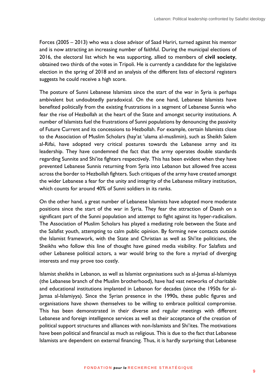Forces (2005 – 2013) who was a close advisor of Saad Hariri, turned against his mentor and is now attracting an increasing number of faithful. During the municipal elections of 2016, the electoral list which he was supporting, allied to members of **civil society**, obtained two thirds of the votes in Tripoli. He is currently a candidate for the legislative election in the spring of 2018 and an analysis of the different lists of electoral registers suggests he could receive a high score.

The posture of Sunni Lebanese Islamists since the start of the war in Syria is perhaps ambivalent but undoubtedly paradoxical. On the one hand, Lebanese Islamists have benefited politically from the existing frustrations in a segment of Lebanese Sunnis who fear the rise of Hezbollah at the heart of the State and amongst security institutions. A number of Islamists fuel the frustrations of Sunni populations by denouncing the passivity of Future Current and its concessions to Hezbollah. For example, certain Islamists close to the Association of Muslim Scholars (hay'at 'ulama al-muslimin), such as Sheikh Salem al-Rifai, have adopted very critical postures towards the Lebanese army and its leadership. They have condemned the fact that the army operates double standards regarding Sunnite and Shi'ite fighters respectively. This has been evident when they have prevented Lebanese Sunnis returning from Syria into Lebanon but allowed free access across the border to Hezbollah fighters. Such critiques of the army have created amongst the wider Lebanese a fear for the unity and integrity of the Lebanese military institution, which counts for around 40% of Sunni soldiers in its ranks.

On the other hand, a great number of Lebanese Islamists have adopted more moderate positions since the start of the war in Syria. They fear the attraction of Daesh on a significant part of the Sunni population and attempt to fight against its hyper-radicalism. The Association of Muslim Scholars has played a mediating role between the State and the Salafist youth, attempting to calm public opinion. By forming new contacts outside the Islamist framework, with the State and Christian as well as Shi'ite politicians, the Sheikhs who follow this line of thought have gained media visibility. For Salafists and other Lebanese political actors, a war would bring to the fore a myriad of diverging interests and may prove too costly.

Islamist sheikhs in Lebanon, as well as Islamist organisations such as al-Jamaa al-Islamiyya (the Lebanese branch of the Muslim brotherhood), have had vast networks of charitable and educational institutions implanted in Lebanon for decades (since the 1950s for al-Jamaa al-Islamiyya). Since the Syrian presence in the 1990s, these public figures and organisations have shown themselves to be willing to embrace political compromise. This has been demonstrated in their diverse and regular meetings with different Lebanese and foreign intelligence services as well as their acceptance of the creation of political support structures and alliances with non-Islamists and Shi'ites. The motivations have been political and financial as much as religious. This is due to the fact that Lebanese Islamists are dependent on external financing. Thus, it is hardly surprising that Lebanese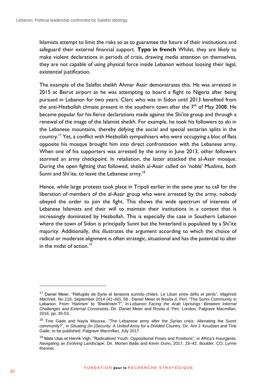Islamists attempt to limit the risks so as to guarantee the future of their institutions and safeguard their external financial support. **Typo in french** Whilst, they are likely to make violent declarations in periods of crisis, drawing media attention on themselves, they are not capable of using physical force inside Lebanon without loosing their legal, existential justification.

The example of the Salafist sheikh Ahmar Assir demonstrates this. He was arrested in 2015 at Beirut airport as he was attempting to board a flight to Nigeria after being pursued in Lebanon for two years. Clerc who was in Sidon until 2013 benefited from the anti-Hezbollah climate present in the southern town after the  $7<sup>th</sup>$  of May 2008. He became popular for his fierce declarations made against the Shi'ite group and through a renewal of the image of the Islamist sheikh. For example, he took his followers to ski in the Lebanese mountains, thereby defying the social and special sectarian splits in the country.<sup>17</sup> Yet, a conflict with Hezbollah sympathisers who were occupying a bloc of flats opposite his mosque brought him into direct confrontation with the Lebanese army. When one of his supporters was arrested by the army in June 2013, other followers stormed an army checkpoint. In retaliation, the latter attacked the al-Assir mosque. During the open fighting that followed, sheikh al-Assir called on 'noble' Muslims, both Sunni and Shi'ite, to leave the Lebanese army.<sup>18</sup>

Hence, while large protests took place in Tripoli earlier in the same year to call for the liberation of members of the al-Assir group who were arrested by the army, nobody obeyed the order to join the fight. This shows the wide spectrum of interests of Lebanese Islamists and their will to maintain their institutions in a context that is increasingly dominated by Hezbollah. This is especially the case in Southern Lebanon where the town of Sidon is principally Sunni but the hinterland is populated by a Shi'ite majority. Additionally, this illustrates the argument according to which the choice of radical or moderate alignment is often strategic, situational and has the potential to alter in the midst of action.<sup>19</sup>

<u>.</u>

<sup>17</sup> Daniel Meier, "Réfugiés de Syrie et tensions sunnito-chiites. Le Liban entre défis et périls", *Maghreb Machrek*, No 218, September 2014 (41–60), 58 ; Daniel Meier et Rosita d. Peri, "The Sunni Community in Lebanon: From 'Harirism' to 'Sheikhism'?", In *Lebanon Facing the Arab Uprisings: Between Internal Challenges and External Constraints*, Dir. Daniel Meier and Rosita d. Peri. London, Palgrave Macmillan, 2016, pp. 35-53.

<sup>&</sup>lt;sup>18</sup> Tine Gade and Nayla Moussa, "The Lebanese army after the Syrian crisis: Alienating the Sunni community?", in *Situating (In-)Security: A United Army for a Divided Country*, Dir. Are J. Knudsen and Tine Gade, to be published, Palgrave Macmillan, July 2017.

<sup>19</sup> Mats Utas et Henrik Vigh, "Radicalised Youth: Oppositional Poses and Positions", in *Africa's Insurgents: Navigating an Evolving Landscape*, Dir. Morten Bøås and Kevin Dunn, 2017, 23–42. Boulder, CO, Lynne Rienner.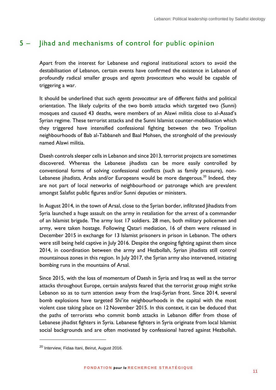#### <span id="page-10-0"></span>5 – Jihad and mechanisms of control for public opinion

Apart from the interest for Lebanese and regional institutional actors to avoid the destabilisation of Lebanon, certain events have confirmed the existence in Lebanon of profoundly radical smaller groups and *agents provocateurs* who would be capable of triggering a war.

It should be underlined that such *agents provocateur* are of different faiths and political orientation. The likely culprits of the two bomb attacks which targeted two (Sunni) mosques and caused 43 deaths, were members of an Alawi militia close to al-Assad's Syrian regime. These terrorist attacks and the Sunni Islamist counter-mobilisation which they triggered have intensified confessional fighting between the two Tripolitan neighbourhoods of Bab al-Tabbaneh and Baal Mohsen, the stronghold of the previously named Alawi militia.

Daesh controls sleeper cells in Lebanon and since 2013, terrorist projects are sometimes discovered. Whereas the Lebanese jihadists can be more easily controlled by conventional forms of solving confessional conflicts (such as family pressure), non-Lebanese jihadists, Arabs and/or Europeans would be more dangerous.<sup>20</sup> Indeed, they are not part of local networks of neighbourhood or patronage which are prevalent amongst Salafist public figures and/or Sunni deputies or ministers.

In August 2014, in the town of Arsal, close to the Syrian border, infiltrated Jihadists from Syria launched a huge assault on the army in retaliation for the arrest of a commander of an Islamist brigade. The army lost 17 soldiers. 28 men, both military policemen and army, were taken hostage. Following Qatari mediation, 16 of them were released in December 2015 in exchange for 13 Islamist prisoners in prison in Lebanon. The others were still being held captive in July 2016. Despite the ongoing fighting against them since 2014, in coordination between the army and Hezbollah, Syrian jihadists still control mountainous zones in this region. In July 2017, the Syrian army also intervened, initiating bombing runs in the mountains of Arsal.

Since 2015, with the loss of momentum of Daesh in Syria and Iraq as well as the terror attacks throughout Europe, certain analysts feared that the terrorist group might strike Lebanon so as to turn attention away from the Iraqi-Syrian front. Since 2014, several bomb explosions have targeted Shi'ite neighbourhoods in the capital with the most violent case taking place on 12 November 2015. In this context, it can be deduced that the paths of terrorists who commit bomb attacks in Lebanon differ from those of Lebanese jihadist fighters in Syria. Lebanese fighters in Syria originate from local Islamist social backgrounds and are often motivated by confessional hatred against Hezbollah.

<sup>20</sup> Interview, Fidaa Itani, Beirut, August 2016.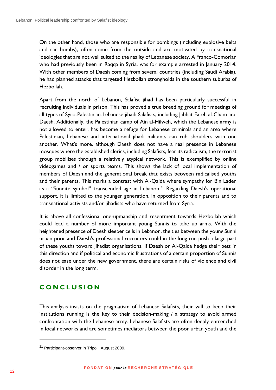On the other hand, those who are responsible for bombings (including explosive belts and car bombs), often come from the outside and are motivated by transnational ideologies that are not well suited to the reality of Lebanese society. A Franco-Comorian who had previously been in Raqqa in Syria, was for example arrested in January 2014. With other members of Daesh coming from several countries (including Saudi Arabia), he had planned attacks that targeted Hezbollah strongholds in the southern suburbs of Hezbollah.

Apart from the north of Lebanon, Salafist jihad has been particularly successful in recruiting individuals in prison. This has proved a true breeding ground for meetings of all types of Syro-Palestinian-Lebanese jihadi Salafists, including Jabhat Fateh al-Cham and Daesh. Additionally, the Palestinian camp of Ain al-Hilweh, which the Lebanese army is not allowed to enter, has become a refuge for Lebanese criminals and an area where Palestinian, Lebanese and international jihadi militants can rub shoulders with one another. What's more, although Daesh does not have a real presence in Lebanese mosques where the established clerics, including Salafists, fear its radicalism, the terrorist group mobilises through a relatively atypical network. This is exemplified by online videogames and / or sports teams. This shows the lack of local implementation of members of Daesh and the generational break that exists between radicalised youths and their parents. This marks a contrast with Al-Qaida where sympathy for Bin Laden as a "Sunnite symbol" transcended age in Lebanon.<sup>21</sup> Regarding Daesh's operational support, it is limited to the younger generation, in opposition to their parents and to transnational activists and/or jihadists who have returned from Syria.

It is above all confessional one-upmanship and resentment towards Hezbollah which could lead a number of more important young Sunnis to take up arms. With the heightened presence of Daesh sleeper cells in Lebanon, the ties between the young Sunni urban poor and Daesh's professional recruiters could in the long run push a large part of these youths toward jihadist organisations. If Daesh or Al-Qaida hedge their bets in this direction and if political and economic frustrations of a certain proportion of Sunnis does not ease under the new government, there are certain risks of violence and civil disorder in the long term.

#### <span id="page-11-0"></span>**C O N C L U S I O N**

This analysis insists on the pragmatism of Lebanese Salafists, their will to keep their institutions running is the key to their decision-making / a strategy to avoid armed confrontation with the Lebanese army. Lebanese Salafists are often deeply entrenched in local networks and are sometimes mediators between the poor urban youth and the

<sup>21</sup> Participant-observer in Tripoli, August 2009.